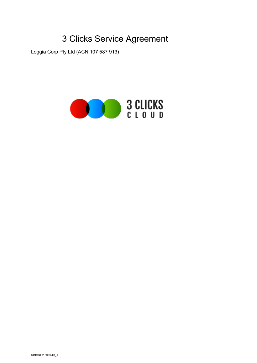# 3 Clicks Service Agreement

Loggia Corp Pty Ltd (ACN 107 587 913)

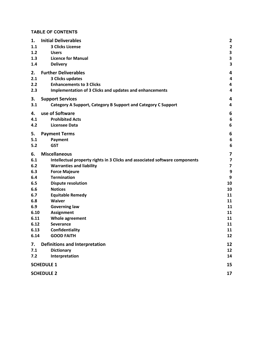# **TABLE OF CONTENTS**

| 1.                | <b>Initial Deliverables</b>                                                 | $\overline{\mathbf{2}}$                            |
|-------------------|-----------------------------------------------------------------------------|----------------------------------------------------|
| 1.1               | <b>3 Clicks License</b>                                                     | $\overline{\mathbf{2}}$                            |
| 1.2<br>1.3        | <b>Users</b><br><b>Licence for Manual</b>                                   | $\overline{\mathbf{3}}$<br>$\overline{\mathbf{3}}$ |
| 1.4               | <b>Delivery</b>                                                             | $\overline{\mathbf{3}}$                            |
|                   |                                                                             |                                                    |
| 2.                | <b>Further Deliverables</b>                                                 | 4                                                  |
| 2.1               | 3 Clicks updates                                                            | 4                                                  |
| 2.2               | <b>Enhancements to 3 Clicks</b>                                             | 4                                                  |
| 2.3               | Implementation of 3 Clicks and updates and enhancements                     | 4                                                  |
| 3.                | <b>Support Services</b>                                                     | 4                                                  |
| 3.1               | Category A Support, Category B Support and Category C Support               | 4                                                  |
| 4.                | use of Software                                                             | 6                                                  |
| 4.1               | <b>Prohibited Acts</b>                                                      | $6\phantom{1}6$                                    |
| 4.2               | <b>Licensee Data</b>                                                        | 6                                                  |
| 5.                | <b>Payment Terms</b>                                                        | $\boldsymbol{6}$                                   |
| 5.1               | Payment                                                                     | $\boldsymbol{6}$                                   |
| 5.2               | <b>GST</b>                                                                  | 6                                                  |
| 6.                | <b>Miscellaneous</b>                                                        | 7                                                  |
| 6.1               | Intellectual property rights in 3 Clicks and associated software components | $\overline{\mathbf{z}}$                            |
| 6.2               | <b>Warranties and liability</b>                                             | $\overline{\mathbf{z}}$                            |
| 6.3               | <b>Force Majeure</b>                                                        | 9                                                  |
| 6.4               | <b>Termination</b>                                                          | 9                                                  |
| 6.5               | <b>Dispute resolution</b>                                                   | 10                                                 |
| 6.6               | <b>Notices</b>                                                              | 10                                                 |
| 6.7               | <b>Equitable Remedy</b>                                                     | 11                                                 |
| 6.8               | <b>Waiver</b>                                                               | 11                                                 |
| 6.9               | <b>Governing law</b>                                                        | 11                                                 |
| 6.10              | <b>Assignment</b>                                                           | 11                                                 |
| 6.11<br>6.12      | Whole agreement<br><b>Severance</b>                                         | 11<br>11                                           |
| 6.13              | Confidentiality                                                             | 11                                                 |
| 6.14              | <b>GOOD FAITH</b>                                                           | 12                                                 |
|                   |                                                                             |                                                    |
| 7.                | <b>Definitions and Interpretation</b>                                       | 12                                                 |
| 7.1               | <b>Dictionary</b>                                                           | 12                                                 |
| 7.2               | Interpretation                                                              | 14                                                 |
| <b>SCHEDULE 1</b> |                                                                             |                                                    |
|                   | <b>SCHEDULE 2</b>                                                           | 17                                                 |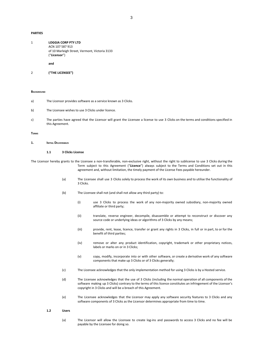## **PARTIES**

| 1 | <b>LOGGIA CORP PTY LTD</b>                    |
|---|-----------------------------------------------|
|   | ACN 107 587 913                               |
|   | of 10 Marleigh Street, Vermont, Victoria 3133 |
|   | ("Licensor")                                  |
|   |                                               |

**and**

```
2 ("THE LICENSEE")
```
#### **BACKGROUND**

- a) The Licensor provides software as a service known as 3 Clicks.
- b) The Licensee wishes to use 3 Clicks under licence.
- c) The parties have agreed that the Licensor will grant the Licensee a license to use 3 Clicks on the terms and conditions specified in this Agreement.

#### <span id="page-2-0"></span>**TERMS**

#### <span id="page-2-1"></span>**1. INITIAL DELIVERABLES**

## **1.1 3 Clicks License**

The Licensor hereby grants to the Licensee a non-transferable, non-exclusive right, without the right to sublicense to use 3 Clicks during the Term subject to this Agreement ("**Licence**") always subject to the Terms and Conditions set out in this agreement and, without limitation, the timely payment of the License Fees payable hereunder.

- (a) The Licensee shall use 3 Clicks solely to process the work of its own business and to utilise the functionality of 3 Clicks.
- (b) The Licensee shall not (and shall not allow any third party) to:
	- (i) use 3 Clicks to process the work of any non-majority owned subsidiary, non-majority owned affiliate or third party;
	- (ii) translate, reverse engineer, decompile, disassemble or attempt to reconstruct or discover any source code or underlying ideas or algorithms of 3 Clicks by any means;
	- (iii) provide, rent, lease, licence, transfer or grant any rights in 3 Clicks, in full or in part, to or for the benefit of third parties;
	- (iv) remove or alter any product identification, copyright, trademark or other proprietary notices, labels or marks on or in 3 Clicks;
	- (v) copy, modify, incorporate into or with other software, or create a derivative work of any software components that make up 3 Clicks or of 3 Clicks generally;
- (c) The Licensee acknowledges that the only implementation method for using 3 Clicks is by a Hosted service.
- (d) The Licensee acknowledges that the use of 3 Clicks (including the normal operation of all components of the software making up 3 Clicks) contrary to the terms of this licence constitutes an infringement of the Licensor's copyright in 3 Clicks and will be a breach of this Agreement.
- (e) The Licensee acknowledges that the Licensor may apply any software security features to 3 Clicks and any software components of 3 Clicks as the Licensor determines appropriate from time to time.

## <span id="page-2-2"></span>**1.2 Users**

(a) The Licensor will allow the Licensee to create log-ins and passwords to access 3 Clicks and no fee will be payable by the Licensee for doing so.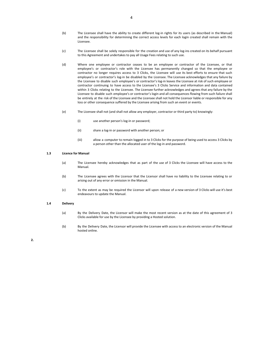- (b) The Licensee shall have the ability to create different log-in rights for its users (as described in the Manual) and the responsibility for determining the correct access levels for each login created shall remain with the Licensee.
- (c) The Licensee shall be solely responsible for the creation and use of any log-ins created on its behalf pursuant to this Agreement and undertakes to pay all Usage Fees relating to such use.
- (d) Where one employee or contractor ceases to be an employee or contractor of the Licensee, or that employee's or contractor's role with the Licensee has permanently changed so that the employee or contractor no longer requires access to 3 Clicks, the Licensee will use its best efforts to ensure that such employee's or contractor's log-in be disabled by the Licensee. The Licensee acknowledges that any failure by the Licensee to disable such employee's or contractor's log-in leaves the Licensee at risk of such employee or contractor continuing to have access to the Licensee's 3 Clicks Service and information and data contained within 3 Clicks relating to the Licensee. The Licensee further acknowledges and agrees that any failure by the Licensee to disable such employee's or contractor's login and all consequences flowing from such failure shall be entirely at the risk of the Licensee and the Licensee shall not hold the Licensor liable or responsible for any loss or other consequence suffered by the Licensee arising from such an event or events.
- (e) The Licensee shall not (and shall not allow any employer, contractor or third party to) knowingly:
	- (i) use another person's log-in or password;
	- (ii) share a log-in or password with another person; or
	- (iii) allow a computer to remain logged in to 3 Clicks for the purpose of being used to access 3 Clicks by a person other than the allocated user of the log-in and password.

#### <span id="page-3-0"></span>**1.3 Licence for Manual**

- (a) The Licensee hereby acknowledges that as part of the use of 3 Clicks the Licensee will have access to the Manual.
- (b) The Licensee agrees with the Licensor that the Licensor shall have no liability to the Licensee relating to or arising out of any error or omission in the Manual.
- (c) To the extent as may be required the Licensor will upon release of a new version of 3 Clicks will use it's best endeavours to update the Manual.

## <span id="page-3-1"></span>**1.4 Delivery**

- (a) By the Delivery Date, the Licensor will make the most recent version as at the date of this agreement of 3 Clicks available for use by the Licensee by providing a Hosted solution.
- (b) By the Delivery Date, the Licensor will provide the Licensee with access to an electronic version of the Manual hosted online.

#### <span id="page-3-2"></span>**2.**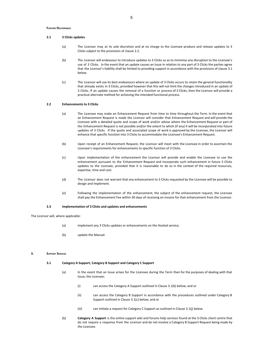## <span id="page-4-0"></span>**2.1 3 Clicks updates**

- (a) The Licensor may at its sole discretion and at no charge to the Licensee produce and release updates to 3 Clicks subject to the provisions of clause 2.2.
- (b) The Licensor will endeavour to introduce updates to 3 Clicks so as to minimise any disruption to the Licensee's use of 3 Clicks. In the event that an update causes an Issue in relation to any part of 3 Clicks the parties agree that the Licensor's liability shall be limited to providing support in accordance with the provisions of clause 3.1 below.
- (c) The Licensor will use its best endeavours where an update of 3 Clicks occurs to retain the general functionality that already exists in 3 Clicks, provided however that this will not limit the changes introduced in an update of 3 Clicks. If an update causes the removal of a function or process of 3 Clicks, then the Licensor will provide a practical alternate method for achieving the intended functional process.

#### <span id="page-4-1"></span>**2.2 Enhancements to 3 Clicks**

- (a) The Licensee may make an Enhancement Request from time to time throughout the Term. In the event that an Enhancement Request is made the Licensor will consider that Enhancement Request and will provide the Licensee with a detailed quote and scope of work and/or advise where the Enhancement Request or part of the Enhancement Request is not possible and/or the extent to which (if any) it will be incorporated into future updates of 3 Clicks. If the quote and associated scope of work is approved by the Licensee, the Licensor will enhance that specific function into 3 Clicks to accommodate the Licensee's Enhancement Request.
- (b) Upon receipt of an Enhancement Request, the Licensor will meet with the Licensee in order to ascertain the Licensee's requirements for enhancements to specific function of 3 Clicks.
- (c) Upon implementation of the enhancement the Licensor will provide and enable the Licensee to use the enhancement pursuant to the Enhancement Request and incorporate such enhancement in future 3 Clicks updates to the Licensee, provided that it is reasonable to do so in the context of the required resources, expertise, time and cost.
- (d) The Licensor does not warrant that any enhancement to 3 Clicks requested by the Licensee will be possible to design and implement.
- (e) Following the implementation of the enhancement, the subject of the enhancement request, the Licensee shall pay the Enhancement Fee within 30 days of receiving an invoice for that enhancement from the Licensor.

#### **2.3 Implementation of 3 Clicks and updates and enhancements**

<span id="page-4-2"></span>The Licensor will, where applicable:

- (a) implement any 3 Clicks updates or enhancements on the Hosted service;
- (b) update the Manual.

#### <span id="page-4-4"></span><span id="page-4-3"></span>**3. SUPPORT SERVICES**

#### **3.1 Category A Support, Category B Support and Category C Support**

- (a) In the event that an Issue arises for the Licensee during the Term then for the purposes of dealing with that Issue, the Licensee;
	- (i) can access the Category A Support outlined in Clause 3.1(b) below; and or
	- (ii) can access the Category B Support in accordance with the procedures outlined under Category B Support outlined in Clause 3.1(c) below; and or
	- (iii) can initiate a request for Category C Support as outlined in Clause 3.1(j) below.
- (b) **Category A Support** is the online support wiki and forums help services found at the 3 Clicks client centre that do not require a response from the Licensor and do not involve a Category B Support Request being made by the Licensee.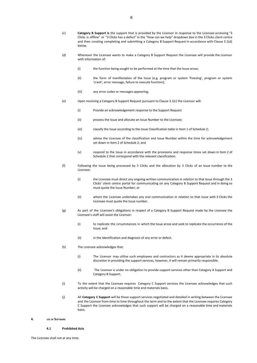- (c) **Category B Support is** the support that is provided by the Licensor in response to the Licensee accessing "3 Clicks is offline" or "3 Clicks has a defect" in the "How can we help" dropdown box in the 3 Clicks client centre and then creating completing and submitting a Category B Support Request in accordance with Clause 3.1(d) below.
- (d) Whenever the Licensee wants to make a Category B Support Request the Licensee will provide the Licensor with information of:
	- (i) the function being sought to be performed at the time that the Issue arose;
	- (ii) the form of manifestation of the Issue (e.g. program or system 'freezing', program or system 'crash', error message, failure to execute function);
	- (iii) any error codes or messages appearing;
- (e) Upon receiving a Category B Support Request pursuant to Clause 3.1(c) the Licensor will:
	- (i) Provide an acknowledgement response to the Support Request
	- (ii) process the Issue and allocate an Issue Number to the Licensee;
	- (iii) classify the Issue according to the Issue Classification table in Item 1 of Schedule 2;
	- (iv) advise the Licensee of the classification and Issue Number within the time for acknowledgement set down in Item 2 of Schedule 2; and
	- (v) respond to the Issue in accordance with the provisions and response times set down in Item 2 of Schedule 2 that correspond with the relevant classification.
- (f) Following the Issue being processed by 3 Clicks and the allocation by 3 Clicks of an Issue number to the Licensee:
	- (i) the Licensee must direct any ongoing written communication in relation to that Issue through the 3 Clicks' client centre portal for communicating on any Category B Support Request and in doing so must quote the Issue Number; or
	- (ii) where the Licensee undertakes any oral communication in relation to that Issue with 3 Clicks the Licensee must quote the Issue number.
- (g) As part of the Licensee's obligations in respect of a Category B Support Request made by the Licensee the Licensee's staff will assist the Licensor:
	- (i) to replicate the circumstances in which the Issue arose and seek to replicate the occurrence of the Issue; and
	- (ii) in the identification and diagnosis of any error or defect.
- (h) The Licensee acknowledges that:
	- (i) The Licensor may utilise such employees and contractors as it deems appropriate in its absolute discretion in providing the support services, however, it will remain primarily responsible.
	- (ii) The Licensor is under no obligation to provide support services other than Category A Support and Category B Support.
- (i) To the extent that the Licensee requires Category C Support services the Licensee acknowledges that such activity will be charged on a reasonable time and materials basis.
- (j) All **Category C Support** will be those support services negotiated and detailed in writing between the Licensee and the Licensor from time to time throughout the term and to the extent that the Licensee requires Category C Support the Licensee acknowledges that such support will be charged on a reasonable time and materials basis.

#### <span id="page-5-1"></span><span id="page-5-0"></span>**4. USE OF SOFTWARE**

#### **4.1 Prohibited Acts**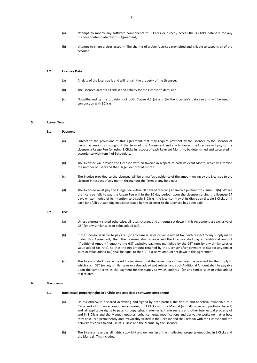- (a) attempt to modify any software components of 3 Clicks or directly access the 3 Clicks database for any purpose contemplated by this Agreement;
- (b) attempt to share a User account. The sharing of a User is strictly prohibited and is liable to suspension of the account.

#### <span id="page-6-0"></span>**4.2 Licensee Data**

- (a) All data of the Licensee is and will remain the property of the Licensee;
- (b) The Licensee accepts all risk in and liability for the Licensee's data; and
- (c) Notwithstanding the provisions of both Clause 4.2 (a) and (b) the Licensee's data can and will be used in conjunction with 3Clicks.

## <span id="page-6-2"></span><span id="page-6-1"></span>**5. PAYMENT TERMS**

#### **5.1 Payment**

- (a) Subject to the provisions of this Agreement that may require payment by the Licensee to the Licensor of particular amounts throughout the term of this Agreement and any holdover, the Licensee will pay to the Licensor a Usage Fee for using 3 Clicks in respect of each Relevant Month to be determined and calculated in accordance with item 4 of Schedule 1.
- (b) The Licensor will provide the Licensee with an Invoice in respect of each Relevant Month, which will itemise the number of users and the Usage Fee for that month.
- (c) The Invoice provided to the Licensee will be prima facie evidence of the amount owing by the Licensee to the Licensor in respect of any month throughout the Term or any hold over.
- (d) The Licensee must pay the Usage Fee within 30 days of receiving an Invoice pursuant to clause 5.1(b). Where the licensee fails to pay the Usage Fee within the 30 day period, upon the Licensor serving the licensee 14 days written notice of its intention to disable 3 Clicks, the Licensor may at its discretion disable 3 Clicks until each (and/all) outstanding Invoice(s) issued by the Licensor to the Licensee has been paid.

## <span id="page-6-3"></span>**5.2 GST**

- (a) Unless expressly stated otherwise, all rates, charges and amounts set down in this Agreement are exclusive of GST (or any similar sales or value added tax).
- (b) If the Licensor is liable to pay GST (or any similar sales or value added tax) with respect to any supply made under this Agreement, then the Licensor shall invoice and the Licensee shall pay an additional amount ('Additional Amount') equal to the GST-exclusive payment multiplied by the GST rate (or any similar sales or value added tax rate), so that the net amount retained by the Licensor after payment of GST (or any similar sales or value added tax) shall be equal to the GST-exclusive amount set down in this Agreement.
- (c) The Licensor shall invoice the Additional Amount at the same time as it invoices the payment for the supply to which such GST (or any similar sales or value added tax) relates, and such Additional Amount shall be payable upon the same terms as the payment for the supply to which such GST (or any similar sales or value added tax) relates.

#### <span id="page-6-5"></span><span id="page-6-4"></span>**6. MISCELLANEOUS**

#### **6.1 Intellectual property rights in 3 Clicks and associated software components**

- (a) Unless otherwise declared in writing and signed by both parties, the title to and beneficial ownership of 3 Clicks and all software components making up 3 Clicks and the Manual (and all copies and portions thereof) and all applicable rights to patents, copyrights, trademarks, trade secrets and other intellectual property of and in 3 Clicks and the Manual, updates, enhancements, modifications and derivative works no matter how they arise, are permanently and irrevocably vested in the Licensor and shall remain with the Licensor and the delivery of copies to and use of 3 Clicks and the Manual by the Licensee.
- (b) The Licensor reserves all rights, copyright and ownership of the intellectual property embodied in 3 Clicks and the Manual. This includes: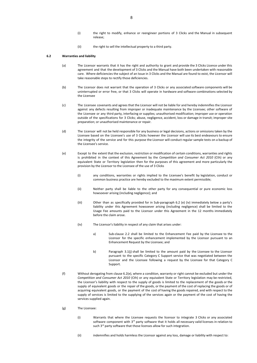- (i) the right to modify, enhance or reengineer portions of 3 Clicks and the Manual in subsequent release;
- (ii) the right to sell the intellectual property to a third party.

## <span id="page-7-0"></span>**6.2 Warranties and liability**

- (a) The Licensor warrants that it has the right and authority to grant and provide the 3 Clicks Licence under this agreement and that the development of 3 Clicks and the Manual have both been undertaken with reasonable care. Where deficiencies the subject of an Issue in 3 Clicks and the Manual are found to exist, the Licensor will take reasonable steps to rectify those deficiencies.
- (b) The Licensor does not warrant that the operation of 3 Clicks or any associated software components will be uninterrupted or error free, or that 3 Clicks will operate in hardware and software combinations selected by the Licensee
- (c) The Licensee covenants and agrees that the Licensor will not be liable for and hereby indemnifies the Licensor against any defects resulting from improper or inadequate maintenance by the Licensee; other software of the Licensee or any third party, interfacing or supplies; unauthorised modification; improper use or operation outside of the specifications for 3 Clicks; abuse, negligence, accident, loss or damage in transit; improper site preparation; or unauthorised maintenance or repair.
- (d) The Licensor will not be held responsible for any business or legal decisions, actions or omissions taken by the Licensee based on the Licensee's use of 3 Clicks however the Licensor will use its best endeavours to ensure the integrity of the service and for this purpose the Licensor will conduct regular sample tests on a backup of the Licensee's service.
- (e) Except to the extent that the exclusion, restriction or modification of certain conditions, warranties and rights is prohibited in the context of this Agreement by the *Competition and Consumer Act 2010* (Cth) or any equivalent State or Territory legislation then for the purposes of this agreement and more particularly the provision by the Licensor to the Licensee of the use of 3 Clicks
	- (i) any conditions, warranties or rights implied to the Licensee's benefit by legislation, conduct or common business practice are hereby excluded to the maximum extent permissible;
	- (ii) Neither party shall be liable to the other party for any consequential or pure economic loss howsoever arising (including negligence); and
	- (iii) Other than as specifically provided for in Sub-paragraph 6.2 (e) (iv) immediately below a party's liability under this Agreement howsoever arising (including negligence) shall be limited to the Usage Fee amounts paid to the Licensor under this Agreement in the 12 months immediately before the claim arose.
	- (iv) The Licensor's liability in respect of any claim that arises under:
		- a) Sub-clause 2.2 shall be limited to the Enhancement Fee paid by the Licensee to the Licensor for the specific enhancement implemented by the Licensor pursuant to an Enhancement Request by the Licensee; and
		- b) Paragraph 3.1(j) shall be limited to the amount paid by the Licensee to the Licensor pursuant to the specific Category C Support service that was negotiated between the Licensor and the Licensee following a request by the Licensee for that Category C Support.
- (f) Without derogating from clause 6.2(e), where a condition, warranty or right cannot be excluded but under the *Competition and Consumer Act 2010* (Cth) or any equivalent State or Territory legislation may be restricted, the Licensor's liability with respect to the supply of goods is limited to the replacement of the goods or the supply of equivalent goods or the repair of the goods, or the payment of the cost of replacing the goods or of acquiring equivalent goods, or the payment of the cost of having the goods repaired, and with respect to the supply of services is limited to the supplying of the services again or the payment of the cost of having the services supplied again.
- (g) The Licensee:
	- (i) Warrants that where the Licensee requests the licensor to integrate 3 Clicks or any associated software component with  $3<sup>rd</sup>$  party software that it holds all necessary valid licenses in relation to such 3<sup>rd</sup> party software that those licenses allow for such integration.
	- (ii) indemnifies and holds harmless the Licensor against any loss, damage or liability with respect to: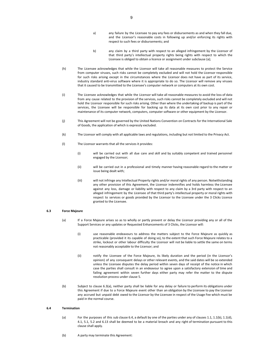- a) any failure by the Licensee to pay any fees or disbursements as and when they fall due, and the Licensor's reasonable costs in following up and/or enforcing its rights with respect to such fees or disbursements; and
- b) any claim by a third party with respect to an alleged infringement by the Licensor of that third party's intellectual property rights being rights with respect to which the Licensee is obliged to obtain a licence or assignment under subclause (a);
- (h) The Licensee acknowledges that while the Licensor will take all reasonable measures to protect the Service from computer viruses, such risks cannot be completely excluded and will not hold the Licensor responsible for such risks arising except in the circumstances where the Licensor does not have as part of its service, industry standard anti-virus software where it is appropriate to do so. The Licensor will remove any viruses that it caused to be transmitted to the Licensee's computer network or computers at its own cost.
- (i) The Licensee acknowledges that while the Licensor will take all reasonable measures to avoid the loss of data from any cause related to the provision of the services, such risks cannot be completely excluded and will not hold the Licensor responsible for such risks arising. Other than where the undertaking of backup is part of the services, the Licensee will be responsible for backing up its data at its own cost prior to any repair or maintenance of its computer network, computers, computer software or other equipment by the Licensor.
- (j) This Agreement will not be governed by the United Nations Convention on Contracts for the International Sale of Goods, the application of which is expressly excluded.
- (k) The Licensor will comply with all applicable laws and regulations, including but not limited to the Privacy Act.
- (l) The Licensor warrants that all the services it provides:
	- (i) will be carried out with all due care and skill and by suitably competent and trained personnel engaged by the Licensor;
	- (ii) will be carried out in a professional and timely manner having reasonable regard to the matter or issue being dealt with;
	- (iii) will not infringe any Intellectual Property rights and/or moral rights of any person. Notwithstanding any other provision of this Agreement, the Licensor indemnifies and holds harmless the Licensee against any loss, damage or liability with respect to any claim by a 3rd party with respect to an alleged infringement by the Licensee of that third party's intellectual property or moral rights with respect to services or goods provided by the Licensor to the Licensee under the 3 Clicks Licence granted to the Licensee.

#### <span id="page-8-0"></span>**6.3 Force Majeure**

- (a) If a Force Majeure arises so as to wholly or partly prevent or delay the Licensor providing any or all of the Support Services or any updates or Requested Enhancements of 3 Clicks, the Licensor will:
	- (i) use reasonable endeavours to address the matters subject to the Force Majeure as quickly as practicable (provided it its capable of doing so), to the extent that such Force Majeure relates to a strike, lockout or other labour difficulty the Licensor will not be liable to settle the same on terms not reasonably acceptable to the Licensor; and
	- (ii) notify the Licensee of the Force Majeure, its likely duration and the period (in the Licensor's opinion) of any consequent delays or other relevant events, and the said dates will be so extended unless the Licensee disputes the delay period within seven days of receipt of the notice in which case the parties shall consult in an endeavour to agree upon a satisfactory extension of time and failing agreement within seven further days either party may refer the matter to the dispute resolution process under clause 5.
- (b) Subject to clause 6.3(a), neither party shall be liable for any delay or failure to perform its obligations under this Agreement if due to a Force Majeure event other than an obligation by the Licensee to pay the Licensor any accrued but unpaid debt owed to the Licensor by the Licensee in respect of the Usage Fee which must be paid in the normal course.

#### <span id="page-8-1"></span>**6.4 Termination**

- (a) For the purposes of this sub clause 6.4, a default by one of the parties under any of clauses 1.1, 1.1(b), 1.1(d), 4.1, 5.1, 5.2 and 6.13 shall be deemed to be a material breach and any right of termination pursuant to this clause shall apply.
- (b) A party may terminate this Agreement: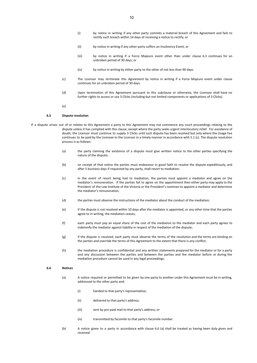- (i) by notice in writing if any other party commits a material breach of this Agreement and fails to rectify such breach within 14 days of receiving a notice to rectify; or
- (ii) by notice in writing if any other party suffers an Insolvency Event; or
- (iii) by notice in writing if a Force Majeure event other than under clause 6.3 continues for an unbroken period of 30 days; or
- (iv) by notice in writing by either party to the other of not less than 90 days.
- (c) The Licensor may terminate this Agreement by notice in writing if a Force Majeure event under clause continues for an unbroken period of 30 days.
- (d) Upon termination of this Agreement pursuant to this subclause or otherwise, the Licensee shall have no further rights to access or use 3 Clicks (including but not limited components or applications of 3 Clicks).
- (e)

## **6.5 Dispute resolution**

- <span id="page-9-0"></span>If a dispute arises out of or relates to this Agreement a party to this Agreement may not commence any court proceedings relating to the dispute unless it has complied with this clause, except where the party seeks urgent interlocutory relief. For avoidance of doubt, the Licensor must continue to supply 3 Clicks until such dispute has been resolved but only where the Usage Fee continues to be paid by the Licensee to the Licensor in a timely manner in accordance with 5.1 (c). The dispute resolution process is as follows:
	- (a) the party claiming the existence of a dispute must give written notice to the other parties specifying the nature of the dispute;
	- (b) on receipt of that notice the parties must endeavour in good faith to resolve the dispute expeditiously, and after 5 business days if requested by any party, shall resort to mediation;
	- (c) in the event of resort being had to mediation, the parties must appoint a mediator and agree on the mediator's remuneration. If the parties fail to agree on the appointment then either party may apply to the President of the Law Institute of the Victoria or the President's nominee to appoint a mediator and determine the mediator's remuneration;
	- (d) the parties must observe the instructions of the mediator about the conduct of the mediation;
	- (e) if the dispute is not resolved within 10 days after the mediator is appointed, or any other time that the parties agree to in writing, the mediation ceases;
	- (f) each party must pay an equal share of the cost of the mediation to the mediator and each party agrees to indemnify the mediator against liability in respect of the mediation of the dispute;
	- (g) if the dispute is resolved, each party must observe the terms of the resolution and the terms are binding on the parties and override the terms of this Agreement to the extent that there is any conflict;
	- (h) the mediation procedure is confidential and any written statements prepared for the mediator or for a party and any discussion between the parties and between the parties and the mediator before or during the mediation procedure cannot be used in any legal proceedings.

#### <span id="page-9-1"></span>**6.6 Notices**

- (a) A notice required or permitted to be given by one party to another under this Agreement must be in writing, addressed to the other party and:
	- (i) handed to that party's representative;
	- (ii) delivered to that party's address;
	- (iii) sent by pre-paid mail to that party's address; or
	- (iv) transmitted by facsimile to that party's facsimile number.
- (b) A notice given to a party in accordance with clause 6.6 (a) shall be treated as having been duly given and received: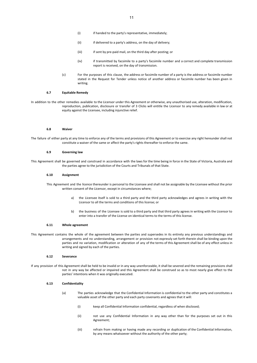- (i) if handed to the party's representative, immediately;
- (ii) if delivered to a party's address, on the day of delivery;
- (iii) if sent by pre-paid mail, on the third day after posting; or
- (iv) if transmitted by facsimile to a party's facsimile number and a correct and complete transmission report is received, on the day of transmission.
- (c) For the purposes of this clause, the address or facsimile number of a party is the address or facsimile number stated in the Request for Tender unless notice of another address or facsimile number has been given in writing.

#### **6.7 Equitable Remedy**

<span id="page-10-0"></span>In addition to the other remedies available to the Licensor under this Agreement or otherwise, any unauthorised use, alteration, modification, reproduction, publication, disclosure or transfer of 3 Clicks will entitle the Licensor to any remedy available in law or at equity against the Licensee, including injunctive relief.

#### **6.8 Waiver**

<span id="page-10-2"></span><span id="page-10-1"></span>The failure of either party at any time to enforce any of the terms and provisions of this Agreement or to exercise any right hereunder shall not constitute a waiver of the same or affect the party's rights thereafter to enforce the same.

#### **6.9 Governing law**

<span id="page-10-3"></span>This Agreement shall be governed and construed in accordance with the laws for the time being in force in the State of Victoria, Australia and the parties agree to the jurisdiction of the Courts and Tribunals of that State.

#### **6.10 Assignment**

This Agreement and the licence thereunder is personal to the Licensee and shall not be assignable by the Licensee without the prior written consent of the Licensor, except in circumstances where;

- a) the Licensee itself is sold to a third party and the third party acknowledges and agrees in writing with the Licensor to all the terms and conditions of this license; or
- b) the business of the Licensee is sold to a third party and that third party agrees in writing with the Licensor to enter into a transfer of the License on identical terms to the terms of this license.

#### <span id="page-10-4"></span>**6.11 Whole agreement**

This Agreement contains the whole of the agreement between the parties and supersedes in its entirety any previous understandings and arrangements and no understanding, arrangement or provision not expressly set forth therein shall be binding upon the parties and no variation, modification or alteration of any of the terms of this Agreement shall be of any effect unless in writing and signed by each of the parties.

#### **6.12 Severance**

<span id="page-10-6"></span><span id="page-10-5"></span>If any provision of this Agreement shall be held to be invalid or in any way unenforceable, it shall be severed and the remaining provisions shall not in any way be affected or impaired and this Agreement shall be construed so as to most nearly give effect to the parties' intentions when it was originally executed.

## **6.13 Confidentiality**

- (a) The parties acknowledge that the Confidential Information is confidential to the other party and constitutes a valuable asset of the other party and each party covenants and agrees that it will:
	- (i) keep all Confidential Information confidential, regardless of when disclosed;
	- (ii) not use any Confidential Information in any way other than for the purposes set out in this Agreement;
	- (iii) refrain from making or having made any recording or duplication of the Confidential Information, by any means whatsoever without the authority of the other party;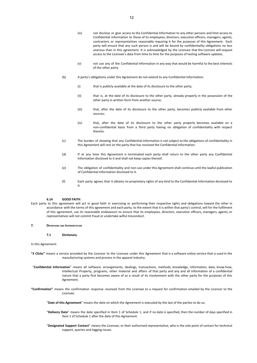- (iv) not disclose or give access to the Confidential Information to any other persons and limit access to Confidential Information to those of its employees, directors, executive officers, managers, agents, contractors or representatives reasonably requiring it for the purposes of this Agreement. Each party will ensure that any such person is and will be bound by confidentiality obligations no less onerous than in this agreement. It is acknowledged by the Licensee that the Licensor will request access to the Licensee's data from time to time for the purposes of testing software updates.
- (v) not use any of the Confidential Information in any way that would be harmful to the best interests of the other party.
- (b) A party's obligations under this Agreement do not extend to any Confidential Information:
	- (i) that is publicly available at the date of its disclosure to the other party;
	- (ii) that is, at the date of its disclosure to the other party, already properly in the possession of the other party in written form from another source;
	- (iii) that, after the date of its disclosure to the other party, becomes publicly available from other sources;
	- (iv) that, after the date of its disclosure to the other party properly becomes available on a non-confidential basis from a third party having no obligation of confidentiality with respect thereto.
- (c) The burden of showing that any Confidential Information is not subject to the obligations of confidentiality in this Agreement will rest on the party that has received the Confidential Information.
- (d) If at any time this Agreement is terminated each party shall return to the other party any Confidential Information disclosed to it and shall not keep copies thereof.
- (e) The obligation of confidentiality and non-use under this Agreement shall continue until the lawful publication of Confidential Information disclosed to it.
- (f) Each party agrees that it obtains no proprietary rights of any kind to the Confidential Information disclosed to it.

## **6.14 GOOD FAITH**

<span id="page-11-0"></span>Each party to this agreement will act in good faith in exercising or performing their respective rights and obligations toward the other in accordance with the terms of this agreement and each party, to the extent that it is within that party's control, will for the fulfilment of this agreement, use its reasonable endeavours to ensure that its employees, directors, executive officers, managers, agents, or representatives will not commit fraud or undertake wilful misconduct.

## <span id="page-11-2"></span><span id="page-11-1"></span>**7. DEFINITIONS AND INTERPRETATION**

**7.1 Dictionary**

#### In this Agreement:

- **"3 Clicks"** means a service provided by the Licensor to the Licensee under this Agreement that is a software online service that is used in the manufacturing systems and process in the apparel industry.
- "**Confidential Information**" means all software, arrangements, dealings, transactions, methods, knowledge, information, data, know-how, Intellectual Property, programs, other material and affairs of that party and any and all information of a confidential nature that a party first becomes aware of as a result of its involvement with the other party for the purposes of this Agreement.
- **"Confirmation"** means the confirmation response received from the Licensee to a request for confirmation emailed by the Licensor to the Licensee.

"**Date of this Agreement**" means the date on which the Agreement is executed by the last of the parties to do so.

- "**Delivery Date**" means the date specified in Item 1 of Schedule 1, and if no date is specified, then the number of days specified in Item 1 of Schedule 1 after the date of this Agreement.
- "**Designated Support Contact**" means the Licensee, or their authorised representative, who is the sole point of contact for technical support, queries and logging issues.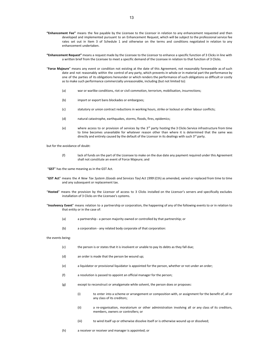- **"Enhancement Fee"** means the fee payable by the Licensee to the Licensor in relation to any enhancement requested and then developed and implemented pursuant to an Enhancement Request, which will be subject to the professional service fee rates set out in Item 3 of Schedule 1 and otherwise on the terms and conditions negotiated in relation to any enhancement undertaken.
- **"Enhancement Request"** means a request made by the Licensee to the Licensor to enhance a specific function of 3 Clicks in line with a written brief from the Licensee to meet a specific demand of the Licensee in relation to that function of 3 Clicks.
- "**Force Majeure**" means any event or condition not existing at the date of this Agreement, not reasonably foreseeable as of such date and not reasonably within the control of any party, which prevents in whole or in material part the performance by one of the parties of its obligations hereunder or which renders the performance of such obligations so difficult or costly as to make such performance commercially unreasonable, including (but not limited to):
	- (a) war or warlike conditions, riot or civil commotion, terrorism, mobilisation, insurrections;
	- (b) import or export bans blockades or embargoes;
	- (c) statutory or union contract reductions in working hours, strike or lockout or other labour conflicts;
	- (d) natural catastrophe, earthquakes, storms, floods, fires, epidemics;
	- (e) where access to or provision of services by the  $3^{rd}$  party hosting the 3 Clicks Service infrastructure from time to time becomes unavailable for whatever reason other than where it is determined that the same was directly and entirely caused by the default of the Licensor in its dealings with such 3<sup>rd</sup> party.

but for the avoidance of doubt:

(f) lack of funds on the part of the Licensee to make on the due date any payment required under this Agreement shall not constitute an event of Force Majeure; and

"**GST**" has the same meaning as in the GST Act.

- "**GST Act**" means the *A New Tax System (Goods and Services Tax) Act 1999* (Cth) as amended, varied or replaced from time to time and any subsequent or replacement tax.
- "**Hosted**" means the provision by the Licensor of access to 3 Clicks installed on the Licensor's servers and specifically excludes installation of 3 Clicks on the Licensee's systems.
- "**Insolvency Event**" means relation to a partnership or corporation, the happening of any of the following events to or in relation to that entity or in the case of:
	- (a) a partnership a person majority owned or controlled by that partnership; or
	- (b) a corporation any related body corporate of that corporation:

the events being:

- (c) the person is or states that it is insolvent or unable to pay its debts as they fall due;
- (d) an order is made that the person be wound up;
- (e) a liquidator or provisional liquidator is appointed for the person, whether or not under an order;
- (f) a resolution is passed to appoint an official manager for the person;
- (g) except to reconstruct or amalgamate while solvent, the person does or proposes:
	- (i) to enter into a scheme or arrangement or composition with, or assignment for the benefit of, all or any class of its creditors;
	- (ii) a re-organisation, moratorium or other administration involving all or any class of its creditors, members, owners or controllers; or
	- (iii) to wind itself up or otherwise dissolve itself or is otherwise wound up or dissolved;
- (h) a receiver or receiver and manager is appointed; or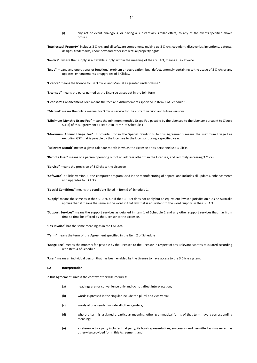- (i) any act or event analogous, or having a substantially similar effect, to any of the events specified above occurs.
- "**Intellectual Property**" includes 3 Clicks and all software components making up 3 Clicks, copyright, discoveries, inventions, patents, designs, trademarks, know-how and other intellectual property rights.
- "**Invoice**", where the 'supply' is a 'taxable supply' within the meaning of the GST Act, means a Tax Invoice.
- "**Issue**" means any operational or functional problem or degradation, bug, defect, anomaly pertaining to the usage of 3 Clicks or any updates, enhancements or upgrades of 3 Clicks..
- "**Licence**" means the licence to use 3 Clicks and Manual as granted under clause 1.
- **"Licensee"** means the party named as the Licensee as set out in the Join form
- "**Licensee's Enhancement Fee**" means the fees and disbursements specified in Item 2 of Schedule 1.
- "**Manual**" means the online manual for 3 Clicks service for the current version and future versions.
- **"Minimum Monthly Usage Fee"** means the minimum monthly Usage Fee payable by the Licensee to the Licensor pursuant to Clause 5.1(a) of this Agreement as set out in Item 4 of Schedule 1.
- **"Maximum Annual Usage Fee"** (if provided for in the Special Conditions to this Agreement) means the maximum Usage Fee excluding GST that is payable by the Licensee to the Licensor during a specified year.
- "**Relevant Month**" means a given calendar month in which the Licensee or its personnel use 3 Clicks.
- "**Remote User**" means one person operating out of an address other than the Licensee, and remotely accessing 3 Clicks.
- **"Service"** means the provision of 3 Clicks to the Licensee
- "**Software**" 3 Clicks version 4, the computer program used in the manufacturing of apparel and includes all updates, enhancements and upgrades to 3 Clicks.
- "**Special Conditions**" means the conditions listed in Item 9 of Schedule 1.
- "**Supply**" means the same as in the GST Act, but if the GST Act does not apply but an equivalent law in a jurisdiction outside Australia applies then it means the same as the word in that law that is equivalent to the word 'supply' in the GST Act.
- **"Support Services"** means the support services as detailed in Item 1 of Schedule 2 and any other support services that may from time to time be offered by the Licensor to the Licensee.
- "**Tax Invoice**" has the same meaning as in the GST Act.
- "**Term**" means the term of this Agreement specified in the Item 2 of Schedule
- "**Usage Fee**" means the monthly fee payable by the Licensee to the Licensor in respect of any Relevant Months calculated according with Item 4 of Schedule 1.
- <span id="page-13-0"></span>**"User"** means an individual person that has been enabled by the License to have access to the 3 Clicks system.

#### **7.2 Interpretation**

In this Agreement, unless the context otherwise requires:

- (a) headings are for convenience only and do not affect interpretation;
- (b) words expressed in the singular include the plural and vice versa;
- (c) words of one gender include all other genders;
- (d) where a term is assigned a particular meaning, other grammatical forms of that term have a corresponding meaning;
- (e) a reference to a party includes that party, its legal representatives, successors and permitted assigns except as otherwise provided for in this Agreement; and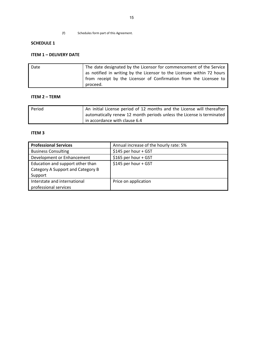(f) Schedules form part of this Agreement.

# <span id="page-14-0"></span>**SCHEDULE 1**

# **ITEM 1 – DELIVERY DATE**

| Date | The date designated by the Licensor for commencement of the Service    |  |  |
|------|------------------------------------------------------------------------|--|--|
|      | as notified in writing by the Licensor to the Licensee within 72 hours |  |  |
|      | from receipt by the Licensor of Confirmation from the Licensee to      |  |  |
|      | proceed.                                                               |  |  |

# **ITEM 2 – TERM**

| Period | An initial License period of 12 months and the License will thereafter |
|--------|------------------------------------------------------------------------|
|        | automatically renew 12 month periods unless the License is terminated  |
|        | in accordance with clause 6.4                                          |

# **ITEM 3**

| <b>Professional Services</b>      | Annual increase of the hourly rate: 5% |
|-----------------------------------|----------------------------------------|
| <b>Business Consulting</b>        | \$145 per hour + GST                   |
| Development or Enhancement        | \$165 per hour + GST                   |
| Education and support other than  | \$145 per hour + GST                   |
| Category A Support and Category B |                                        |
| Support                           |                                        |
| Interstate and international      | Price on application                   |
| professional services             |                                        |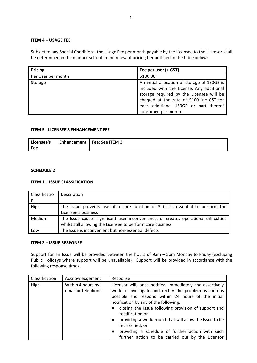# **ITEM 4 – USAGE FEE**

Subject to any Special Conditions, the Usage Fee per month payable by the Licensee to the Licensor shall be determined in the manner set out in the relevant pricing tier outlined in the table below:

| Pricing            | Fee per user (+ GST)                         |
|--------------------|----------------------------------------------|
| Per User per month | \$100.00                                     |
| Storage            | An initial allocation of storage of 150GB is |
|                    | included with the License. Any additional    |
|                    | storage required by the Licensee will be     |
|                    | charged at the rate of \$100 inc GST for     |
|                    | each additional 150GB or part thereof        |
|                    | consumed per month.                          |

# **ITEM 5 - LICENSEE'S ENHANCEMENT FEE**

| Licensee's | Enhancement | Fee: See ITEM 3 |
|------------|-------------|-----------------|
| Fee        |             |                 |

# <span id="page-15-0"></span>**SCHEDULE 2**

# **ITEM 1 – ISSUE CLASSIFICATION**

| Classificatio | Description                                                                                                                                         |  |
|---------------|-----------------------------------------------------------------------------------------------------------------------------------------------------|--|
| n             |                                                                                                                                                     |  |
| High          | The Issue prevents use of a core function of 3 Clicks essential to perform the<br>Licensee's business                                               |  |
| <b>Medium</b> | The Issue causes significant user inconvenience, or creates operational difficulties<br>whilst still allowing the Licensee to perform core business |  |
| Low           | The Issue is inconvenient but non-essential defects                                                                                                 |  |

## **ITEM 2 – ISSUE RESPONSE**

Support for an Issue will be provided between the hours of 9am – 5pm Monday to Friday (excluding Public Holidays where support will be unavailable). Support will be provided in accordance with the following response times:

| Classification | Acknowledgement                         | Response                                                                                                                                                                                                                                                                                                                                                                                                                                                                              |
|----------------|-----------------------------------------|---------------------------------------------------------------------------------------------------------------------------------------------------------------------------------------------------------------------------------------------------------------------------------------------------------------------------------------------------------------------------------------------------------------------------------------------------------------------------------------|
| High           | Within 4 hours by<br>email or telephone | Licensor will, once notified, immediately and assertively<br>work to investigate and rectify the problem as soon as<br>possible and respond within 24 hours of the initial<br>notification by any of the following:<br>closing the Issue following provision of support and<br>rectification or<br>providing a workaround that will allow the Issue to be<br>reclassified; or<br>providing a schedule of further action with such<br>further action to be carried out by the Licensor |